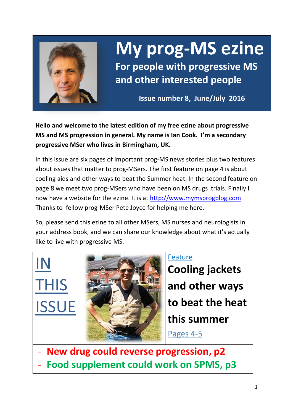

IN

# **My prog-MS ezine**

**For people with progressive MS and other interested people**

**Issue number 8, June/July 2016**

**Hello and welcome to the latest edition of my free ezine about progressive MS and MS progression in general. My name is Ian Cook. I'm a secondary progressive MSer who lives in Birmingham, UK.** 

In this issue are six pages of important prog-MS news stories plus two features about issues that matter to prog-MSers. The first feature on page 4 is about cooling aids and other ways to beat the Summer heat. In the second feature on page 8 we meet two prog-MSers who have been on MS drugs trials. Finally I now have a website for the ezine. It is at [http://www.mymsprogblog.com](http://www.mymsprogblog.com/) Thanks to fellow prog-MSer Pete Joyce for helping me here.

So, please send this ezine to all other MSers, MS nurses and neurologists in your address book, and we can share our knowledge about what it's actually like to live with progressive MS.

THIS ISSUE

Feature

**Cooling jackets and other ways to beat the heat this summer**

Pages 4-5

- **New drug could reverse progression, p2** Food supplement could work on SPMS, p3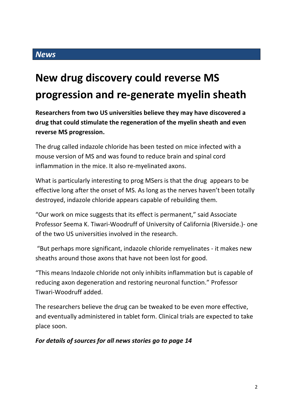## **New drug discovery could reverse MS progression and re-generate myelin sheath**

**Researchers from two US universities believe they may have discovered a drug that could stimulate the regeneration of the myelin sheath and even reverse MS progression.** 

The drug called indazole chloride has been tested on mice infected with a mouse version of MS and was found to reduce brain and spinal cord inflammation in the mice. It also re-myelinated axons.

What is particularly interesting to prog MSers is that the drug appears to be effective long after the onset of MS. As long as the nerves haven't been totally destroyed, indazole chloride appears capable of rebuilding them.

"Our work on mice suggests that its effect is permanent," said Associate Professor Seema K. Tiwari-Woodruff of University of California (Riverside.)- one of the two US universities involved in the research.

"But perhaps more significant, indazole chloride remyelinates - it makes new sheaths around those axons that have not been lost for good.

"This means Indazole chloride not only inhibits inflammation but is capable of reducing axon degeneration and restoring neuronal function." Professor Tiwari-Woodruff added.

The researchers believe the drug can be tweaked to be even more effective, and eventually administered in tablet form. Clinical trials are expected to take place soon.

#### *For details of sources for all news stories go to page 14*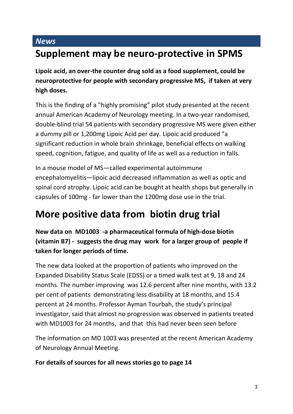### **Supplement may be neuro-protective in SPMS**

**Lipoic acid, an over-the counter drug sold as a food supplement, could be neuroprotective for people with secondary progressive MS, if taken at very high doses.**

This is the finding of a "highly promising" pilot study presented at the recent annual American Academy of Neurology meeting. In a two-year randomised, double-blind trial 54 patients with secondary progressive MS were given either a dummy pill or 1,200mg Lipoic Acid per day. Lipoic acid produced "a significant reduction in whole brain shrinkage, beneficial effects on walking speed, cognition, fatigue, and quality of life as well as a reduction in falls.

In a mouse model of MS—called experimental autoimmune encephalomyelitis—lipoic acid decreased inflammation as well as optic and spinal cord atrophy. Lipoic acid can be bought at health shops but generally in capsules of 100mg - far lower than the 1200mg dose use in the trial.

### **More positive data from biotin drug trial**

**New data on MD1003 -a pharmaceutical formula of high-dose biotin (vitamin B7) - suggests the drug may work for a larger group of people if taken for longer periods of time.**

The new data looked at the proportion of patients who improved on the Expanded Disability Status Scale (EDSS) or a timed walk test at 9, 18 and 24 months. The number improving was 12.6 percent after nine months, with 13.2 per cent of patients demonstrating less disability at 18 months, and 15.4 percent at 24 months. Professor Ayman Tourbah, the study's principal investigator, said that almost no progression was observed in patients treated with MD1003 for 24 months, and that this had never been seen before

The information on MD 1003 was presented at the recent American Academy of Neurology Annual Meeting.

#### **For details of sources for all news stories go to page 14**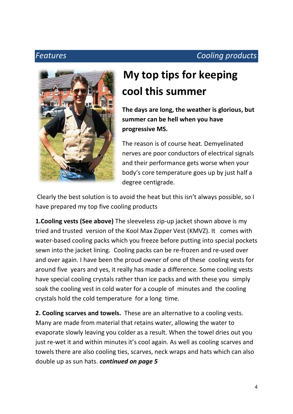### *Features Cooling products*



## **My top tips for keeping cool this summer**

**The days are long, the weather is glorious, but summer can be hell when you have progressive MS.** 

The reason is of course heat. Demyelinated nerves are poor conductors of electrical signals and their performance gets worse when your body's core temperature goes up by just half a degree centigrade.

Clearly the best solution is to avoid the heat but this isn't always possible, so I have prepared my top five cooling products

**1.Cooling vests (See above)** The sleeveless zip-up jacket shown above is my tried and trusted version of the Kool Max Zipper Vest (KMVZ). It comes with water-based cooling packs which you freeze before putting into special pockets sewn into the jacket lining. Cooling packs can be re-frozen and re-used over and over again. I have been the proud owner of one of these cooling vests for around five years and yes, it really has made a difference. Some cooling vests have special cooling crystals rather than ice packs and with these you simply soak the cooling vest in cold water for a couple of minutes and the cooling crystals hold the cold temperature for a long time.

**2. Cooling scarves and towels.** These are an alternative to a cooling vests. Many are made from material that retains water, allowing the water to evaporate slowly leaving you colder as a result. When the towel dries out you just re-wet it and within minutes it's cool again. As well as cooling scarves and towels there are also cooling ties, scarves, neck wraps and hats which can also double up as sun hats. *continued on page 5*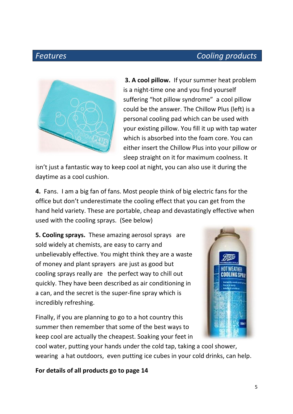#### *Features Cooling products*



**3. A cool pillow.** If your summer heat problem is a night-time one and you find yourself suffering "hot pillow syndrome" a cool pillow could be the answer. The Chillow Plus (left) is a personal cooling pad which can be used with your existing pillow. You fill it up with tap water which is absorbed into the foam core. You can either insert the Chillow Plus into your pillow or sleep straight on it for maximum coolness. It

isn't just a fantastic way to keep cool at night, you can also use it during the daytime as a cool cushion.

**4.** Fans. I am a big fan of fans. Most people think of big electric fans for the office but don't underestimate the cooling effect that you can get from the hand held variety. These are portable, cheap and devastatingly effective when used with the cooling sprays.(See below)

**5. Cooling sprays.** These amazing aerosol sprays are sold widely at chemists, are easy to carry and unbelievably effective. You might think they are a waste of money and plant sprayers are just as good but cooling sprays really are the perfect way to chill out quickly. They have been described as air conditioning in a can, and the secret is the super-fine spray which is incredibly refreshing.

Finally, if you are planning to go to a hot country this summer then remember that some of the best ways to keep cool are actually the cheapest. Soaking your feet in



cool water, putting your hands under the cold tap, taking a cool shower, wearing a hat outdoors, even putting ice cubes in your cold drinks, can help.

**For details of all products go to page 14**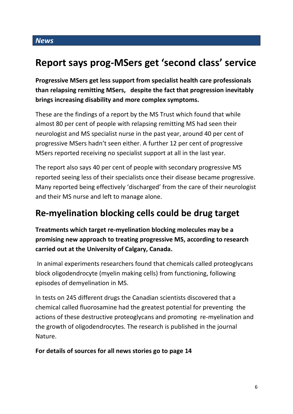### **Report says prog-MSers get 'second class' service**

**Progressive MSers get less support from specialist health care professionals than relapsing remitting MSers, despite the fact that progression inevitably brings increasing disability and more complex symptoms.**

These are the findings of a report by the MS Trust which found that while almost 80 per cent of people with relapsing remitting MS had seen their neurologist and MS specialist nurse in the past year, around 40 per cent of progressive MSers hadn't seen either. A further 12 per cent of progressive MSers reported receiving no specialist support at all in the last year.

The report also says 40 per cent of people with secondary progressive MS reported seeing less of their specialists once their disease became progressive. Many reported being effectively 'discharged' from the care of their neurologist and their MS nurse and left to manage alone.

### **Re-myelination blocking cells could be drug target**

**Treatments which target re-myelination blocking molecules may be a promising new approach to treating progressive MS, according to research carried out at the University of Calgary, Canada.**

In animal experiments researchers found that chemicals called proteoglycans block oligodendrocyte (myelin making cells) from functioning, following episodes of demyelination in MS.

In tests on 245 different drugs the Canadian scientists discovered that a chemical called fluorosamine had the greatest potential for preventing the actions of these destructive proteoglycans and promoting re-myelination and the growth of oligodendrocytes. The research is published in the journal Nature.

**For details of sources for all news stories go to page 14**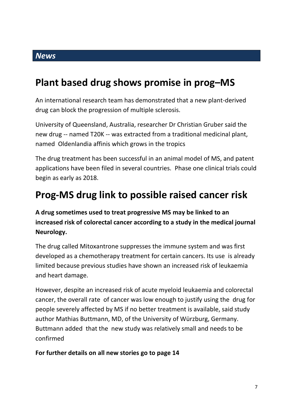### **Plant based drug shows promise in prog–MS**

An international research team has demonstrated that a new plant-derived drug can block the progression of multiple sclerosis.

University of Queensland, Australia, researcher Dr Christian Gruber said the new drug -- named T20K -- was extracted from a traditional medicinal plant, named Oldenlandia affinis which grows in the tropics

The drug treatment has been successful in an animal model of MS, and patent applications have been filed in several countries. Phase one clinical trials could begin as early as 2018.

### **Prog-MS drug link to possible raised cancer risk**

**A drug sometimes used to treat progressive MS may be linked to an increased risk of colorectal cancer according to a study in the medical journal Neurology.**

The drug called Mitoxantrone suppresses the immune system and was first developed as a chemotherapy treatment for certain cancers. Its use is already limited because previous studies have shown an increased risk of leukaemia and heart damage.

However, despite an increased risk of acute myeloid leukaemia and colorectal cancer, the overall rate of cancer was low enough to justify using the drug for people severely affected by MS if no better treatment is available, said study author Mathias Buttmann, MD, of the University of Würzburg, Germany. Buttmann added that the new study was relatively small and needs to be confirmed

**For further details on all new stories go to page 14**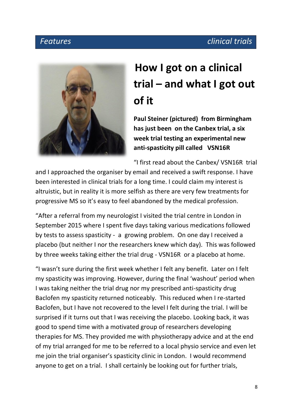### *Features clinical trials*



## **How I got on a clinical trial – and what I got out of it**

**Paul Steiner (pictured) from Birmingham has just been on the Canbex trial, a six week trial testing an experimental new anti-spasticity pill called VSN16R** 

"I first read about the Canbex/ VSN16R trial

and I approached the organiser by email and received a swift response. I have been interested in clinical trials for a long time. I could claim my interest is altruistic, but in reality it is more selfish as there are very few treatments for progressive MS so it's easy to feel abandoned by the medical profession.

"After a referral from my neurologist I visited the trial centre in London in September 2015 where I spent five days taking various medications followed by tests to assess spasticity - a growing problem. On one day I received a placebo (but neither I nor the researchers knew which day). This was followed by three weeks taking either the trial drug - VSN16R or a placebo at home.

"I wasn't sure during the first week whether I felt any benefit. Later on I felt my spasticity was improving. However, during the final 'washout' period when I was taking neither the trial drug nor my prescribed anti-spasticity drug Baclofen my spasticity returned noticeably. This reduced when I re-started Baclofen, but I have not recovered to the level I felt during the trial. I will be surprised if it turns out that I was receiving the placebo. Looking back, it was good to spend time with a motivated group of researchers developing therapies for MS. They provided me with physiotherapy advice and at the end of my trial arranged for me to be referred to a local physio service and even let me join the trial organiser's spasticity clinic in London. I would recommend anyone to get on a trial. I shall certainly be looking out for further trials,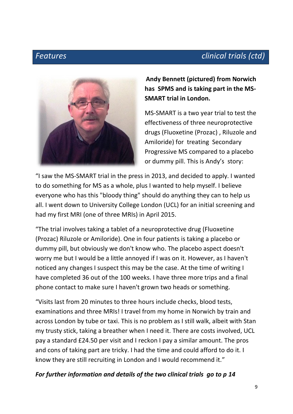### *Features clinical trials (ctd)*



**Andy Bennett (pictured) from Norwich has SPMS and is taking part in the MS-SMART trial in London.**

MS-SMART is a two year trial to test the effectiveness of three neuroprotective drugs (Fluoxetine (Prozac) , Riluzole and Amiloride) for treating Secondary Progressive MS compared to a placebo or dummy pill. This is Andy's story:

"I saw the MS-SMART trial in the press in 2013, and decided to apply. I wanted to do something for MS as a whole, plus I wanted to help myself. I believe everyone who has this "bloody thing" should do anything they can to help us all. I went down to University College London (UCL) for an initial screening and had my first MRI (one of three MRIs) in April 2015.

"The trial involves taking a tablet of a neuroprotective drug (Fluoxetine (Prozac) Riluzole or Amiloride). One in four patients is taking a placebo or dummy pill, but obviously we don't know who. The placebo aspect doesn't worry me but I would be a little annoyed if I was on it. However, as I haven't noticed any changes I suspect this may be the case. At the time of writing I have completed 36 out of the 100 weeks. I have three more trips and a final phone contact to make sure I haven't grown two heads or something.

"Visits last from 20 minutes to three hours include checks, blood tests, examinations and three MRIs! I travel from my home in Norwich by train and across London by tube or taxi. This is no problem as I still walk, albeit with Stan my trusty stick, taking a breather when I need it. There are costs involved, UCL pay a standard £24.50 per visit and I reckon I pay a similar amount. The pros and cons of taking part are tricky. I had the time and could afford to do it. I know they are still recruiting in London and I would recommend it."

#### *For further information and details of the two clinical trials go to p 14*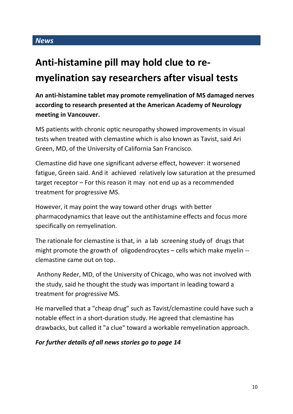### **Anti-histamine pill may hold clue to remyelination say researchers after visual tests**

**An anti-histamine tablet may promote remyelination of MS damaged nerves according to research presented at the American Academy of Neurology meeting in Vancouver.**

MS patients with chronic optic neuropathy showed improvements in visual tests when treated with clemastine which is also known as Tavist, said Ari Green, MD, of the University of California San Francisco.

Clemastine did have one significant adverse effect, however: it worsened fatigue, Green said. And it achieved relatively low saturation at the presumed target receptor – For this reason it may not end up as a recommended treatment for progressive MS.

However, it may point the way toward other drugs with better pharmacodynamics that leave out the antihistamine effects and focus more specifically on remyelination.

The rationale for clemastine is that, in a lab screening study of drugs that might promote the growth of oligodendrocytes – cells which make myelin - clemastine came out on top.

Anthony Reder, MD, of the University of Chicago, who was not involved with the study, said he thought the study was important in leading toward a treatment for progressive MS.

He marvelled that a "cheap drug" such as Tavist/clemastine could have such a notable effect in a short-duration study. He agreed that clemastine has drawbacks, but called it "a clue" toward a workable remyelination approach.

#### *For further details of all news stories go to page 14*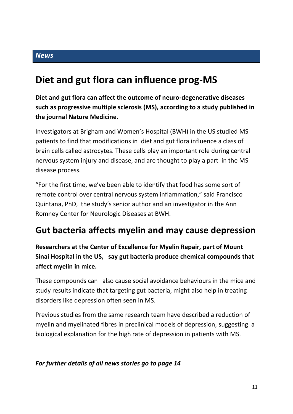### **Diet and gut flora can influence prog-MS**

**Diet and gut flora can affect the outcome of neuro-degenerative diseases such as progressive multiple sclerosis (MS), according to a study published in the journal Nature Medicine.** 

Investigators at Brigham and Women's Hospital (BWH) in the US studied MS patients to find that modifications in diet and gut flora influence a class of brain cells called astrocytes. These cells play an important role during central nervous system injury and disease, and are thought to play a part in the MS disease process.

"For the first time, we've been able to identify that food has some sort of remote control over central nervous system inflammation," said Francisco Quintana, PhD, the study's senior author and an investigator in the Ann Romney Center for Neurologic Diseases at BWH.

### **Gut bacteria affects myelin and may cause depression**

**Researchers at the Center of Excellence for Myelin Repair, part of Mount Sinai Hospital in the US, say gut bacteria produce chemical compounds that affect myelin in mice.**

These compounds can also cause social avoidance behaviours in the mice and study results indicate that targeting gut bacteria, might also help in treating disorders like depression often seen in MS.

Previous studies from the same research team have described a reduction of myelin and myelinated fibres in preclinical models of depression, suggesting a biological explanation for the high rate of depression in patients with MS.

#### *For further details of all news stories go to page 14*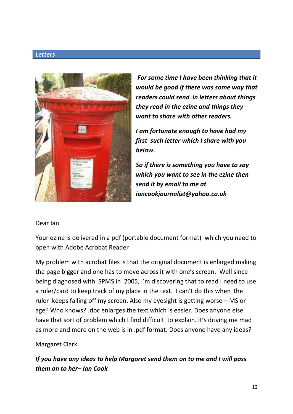#### *Letters*



*For some time I have been thinking that it would be good if there was some way that readers could send in letters about things they read in the ezine and things they want to share with other readers.*

*I am fortunate enough to have had my first such letter which I share with you below.* 

*So if there is something you have to say which you want to see in the ezine then send it by email to me at iancookjournalist@yahoo.co.uk*

#### Dear Ian

Your ezine is delivered in a pdf (portable document format) which you need to open with Adobe Acrobat Reader

My problem with acrobat files is that the original document is enlarged making the page bigger and one has to move across it with one's screen. Well since being diagnosed with SPMS in 2005, I'm discovering that to read I need to use a ruler/card to keep track of my place in the text. I can't do this when the ruler keeps falling off my screen. Also my eyesight is getting worse – MS or age? Who knows? .doc enlarges the text which is easier. Does anyone else have that sort of problem which I find difficult to explain. It's driving me mad as more and more on the web is in .pdf format. Does anyone have any ideas?

#### Margaret Clark

*If you have any ideas to help Margaret send them on to me and I will pass them on to her– Ian Cook*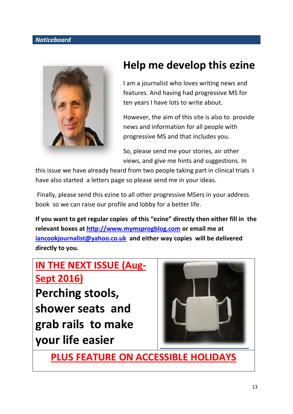#### *Noticeboard*



### **Help me develop this ezine**

I am a journalist who loves writing news and features. And having had progressive MS for ten years I have lots to write about.

However, the aim of this site is also to provide news and information for all people with progressive MS and that includes you.

So, please send me your stories, air other views, and give me hints and suggestions. In

this issue we have already heard from two people taking part in clinical trials I have also started a letters page so please send me in your ideas.

Finally, please send this ezine to all other progressive MSers in your address book so we can raise our profile and lobby for a better life.

**If you want to get regular copies of this "ezine" directly then either fill in the relevant boxes at [http://www.mymsprogblog.com](http://www.mymsprogblog.com/) or email me at [iancookjournalist@yahoo.co.uk](mailto:iancookjournalist@yahoo.co.uk) and either way copies will be delivered directly to you.**

### **IN THE NEXT ISSUE (Aug-Sept 2016)**

**Perching stools, shower seats and grab rails to make your life easier** 



**PLUS FEATURE ON ACCESSIBLE HOLIDAYS**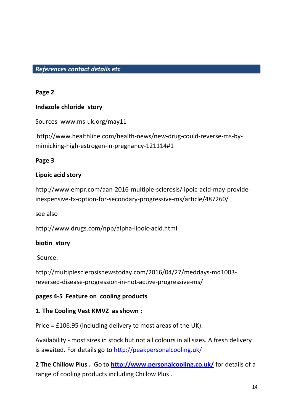#### *References contact details etc*

#### **Page 2**

#### **Indazole chloride story**

Sources www.ms-uk.org/may11

http://www.healthline.com/health-news/new-drug-could-reverse-ms-bymimicking-high-estrogen-in-pregnancy-121114#1

#### **Page 3**

#### **Lipoic acid story**

http://www.empr.com/aan-2016-multiple-sclerosis/lipoic-acid-may-provideinexpensive-tx-option-for-secondary-progressive-ms/article/487260/

see also

http://www.drugs.com/npp/alpha-lipoic-acid.html

#### **biotin story**

Source:

http://multiplesclerosisnewstoday.com/2016/04/27/meddays-md1003 reversed-disease-progression-in-not-active-progressive-ms/

#### **pages 4-5 Feature on cooling products**

#### **1. The Cooling Vest KMVZ as shown :**

Price = £106.95 (including delivery to most areas of the UK).

Availability - most sizes in stock but not all colours in all sizes. A fresh delivery is awaited. For details go to<http://peakpersonalcooling.uk/>

**2 The Chillow Plus .** Go to **<http://www.personalcooling.co.uk/>** for details of a range of cooling products including Chillow Plus .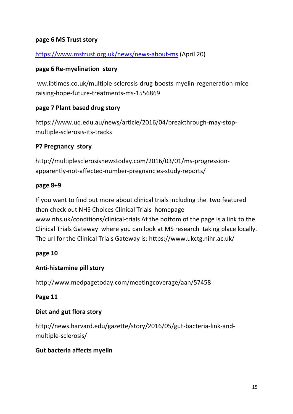#### **page 6 MS Trust story**

#### <https://www.mstrust.org.uk/news/news-about-ms> (April 20)

#### **page 6 Re-myelination story**

ww.ibtimes.co.uk/multiple-sclerosis-drug-boosts-myelin-regeneration-miceraising-hope-future-treatments-ms-1556869

#### **page 7 Plant based drug story**

https://www.uq.edu.au/news/article/2016/04/breakthrough-may-stopmultiple-sclerosis-its-tracks

#### **P7 Pregnancy story**

http://multiplesclerosisnewstoday.com/2016/03/01/ms-progressionapparently-not-affected-number-pregnancies-study-reports/

#### **page 8+9**

If you want to find out more about clinical trials including the two featured then check out NHS Choices Clinical Trials homepage www.nhs.uk/conditions/clinical-trials At the bottom of the page is a link to the Clinical Trials Gateway where you can look at MS research taking place locally. The url for the Clinical Trials Gateway is: https://www.ukctg.nihr.ac.uk/

#### **page 10**

#### **Anti-histamine pill story**

http://www.medpagetoday.com/meetingcoverage/aan/57458

#### **Page 11**

#### **Diet and gut flora story**

http://news.harvard.edu/gazette/story/2016/05/gut-bacteria-link-andmultiple-sclerosis/

#### **Gut bacteria affects myelin**